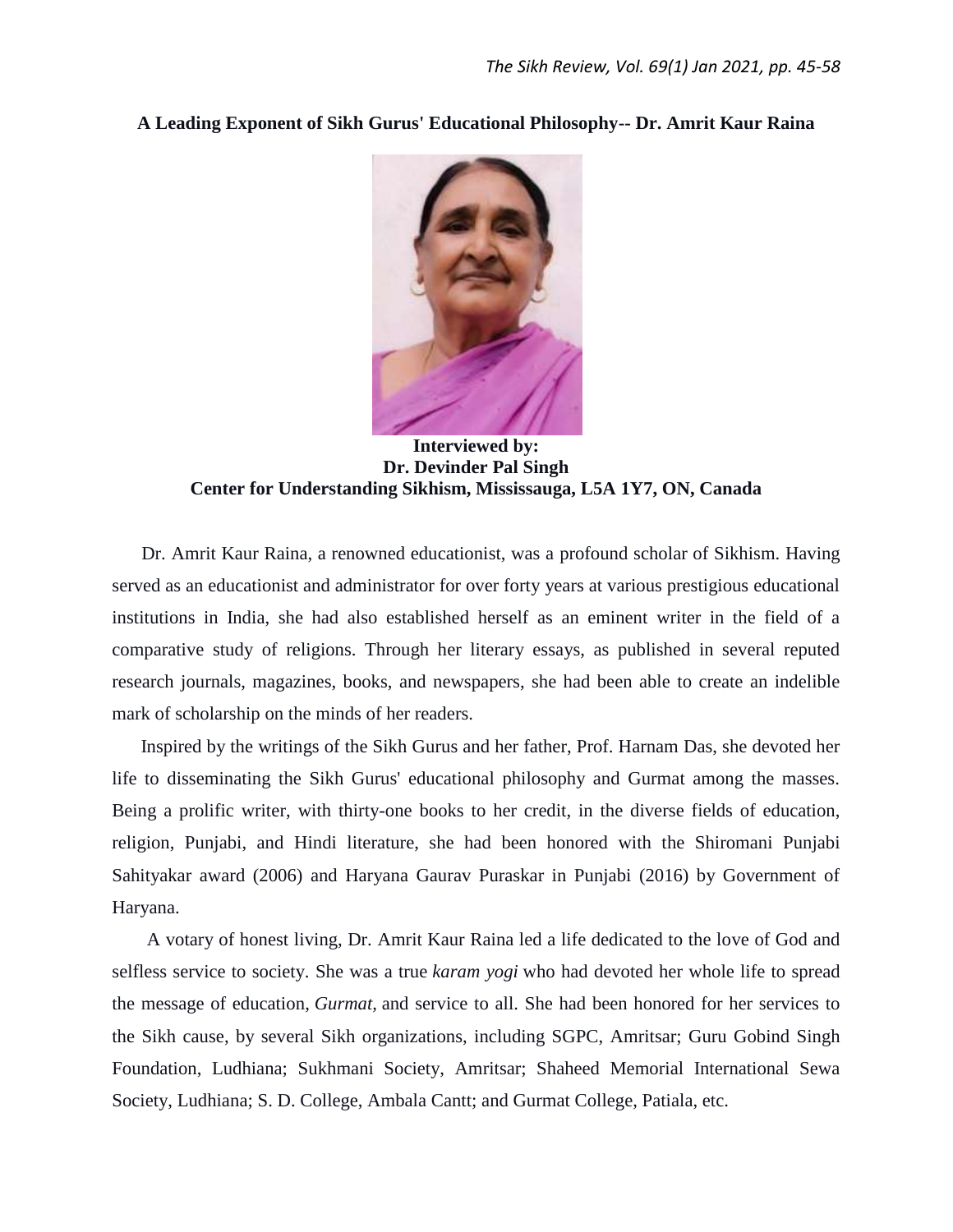### **A Leading Exponent of Sikh Gurus' Educational Philosophy-- Dr. Amrit Kaur Raina**



**Interviewed by: Dr. Devinder Pal Singh Center for Understanding Sikhism, Mississauga, L5A 1Y7, ON, Canada**

 Dr. Amrit Kaur Raina, a renowned educationist, was a profound scholar of Sikhism. Having served as an educationist and administrator for over forty years at various prestigious educational institutions in India, she had also established herself as an eminent writer in the field of a comparative study of religions. Through her literary essays, as published in several reputed research journals, magazines, books, and newspapers, she had been able to create an indelible mark of scholarship on the minds of her readers.

 Inspired by the writings of the Sikh Gurus and her father, Prof. Harnam Das, she devoted her life to disseminating the Sikh Gurus' educational philosophy and Gurmat among the masses. Being a prolific writer, with thirty-one books to her credit, in the diverse fields of education, religion, Punjabi, and Hindi literature, she had been honored with the Shiromani Punjabi Sahityakar award (2006) and Haryana Gaurav Puraskar in Punjabi (2016) by Government of Haryana.

A votary of honest living, Dr. Amrit Kaur Raina led a life dedicated to the love of God and selfless service to society. She was a true *karam yogi* who had devoted her whole life to spread the message of education, *Gurmat,* and service to all. She had been honored for her services to the Sikh cause, by several Sikh organizations, including SGPC, Amritsar; Guru Gobind Singh Foundation, Ludhiana; Sukhmani Society, Amritsar; Shaheed Memorial International Sewa Society, Ludhiana; S. D. College, Ambala Cantt; and Gurmat College, Patiala, etc.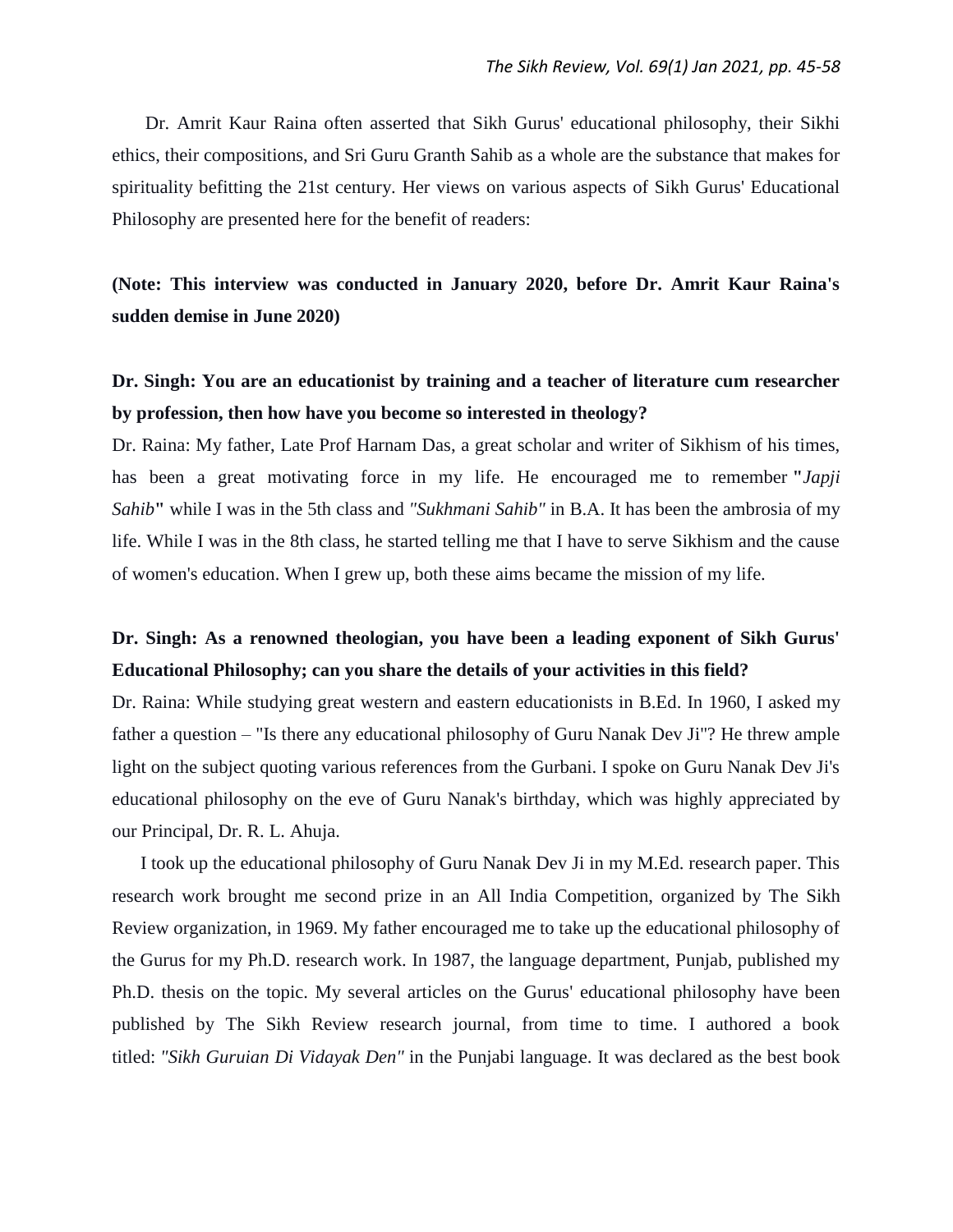Dr. Amrit Kaur Raina often asserted that Sikh Gurus' educational philosophy, their Sikhi ethics, their compositions, and Sri Guru Granth Sahib as a whole are the substance that makes for spirituality befitting the 21st century. Her views on various aspects of Sikh Gurus' Educational Philosophy are presented here for the benefit of readers:

**(Note: This interview was conducted in January 2020, before Dr. Amrit Kaur Raina's sudden demise in June 2020)**

### **Dr. Singh: You are an educationist by training and a teacher of literature cum researcher by profession, then how have you become so interested in theology?**

Dr. Raina: My father, Late Prof Harnam Das, a great scholar and writer of Sikhism of his times, has been a great motivating force in my life. He encouraged me to remember **"***Japji Sahib***"** while I was in the 5th class and *"Sukhmani Sahib"* in B.A. It has been the ambrosia of my life. While I was in the 8th class, he started telling me that I have to serve Sikhism and the cause of women's education. When I grew up, both these aims became the mission of my life.

### **Dr. Singh: As a renowned theologian, you have been a leading exponent of Sikh Gurus' Educational Philosophy; can you share the details of your activities in this field?**

Dr. Raina: While studying great western and eastern educationists in B.Ed. In 1960, I asked my father a question – "Is there any educational philosophy of Guru Nanak Dev Ji"? He threw ample light on the subject quoting various references from the Gurbani. I spoke on Guru Nanak Dev Ji's educational philosophy on the eve of Guru Nanak's birthday, which was highly appreciated by our Principal, Dr. R. L. Ahuja.

 I took up the educational philosophy of Guru Nanak Dev Ji in my M.Ed. research paper. This research work brought me second prize in an All India Competition, organized by The Sikh Review organization, in 1969. My father encouraged me to take up the educational philosophy of the Gurus for my Ph.D. research work. In 1987, the language department, Punjab, published my Ph.D. thesis on the topic. My several articles on the Gurus' educational philosophy have been published by The Sikh Review research journal, from time to time. I authored a book titled: *"Sikh Guruian Di Vidayak Den"* in the Punjabi language. It was declared as the best book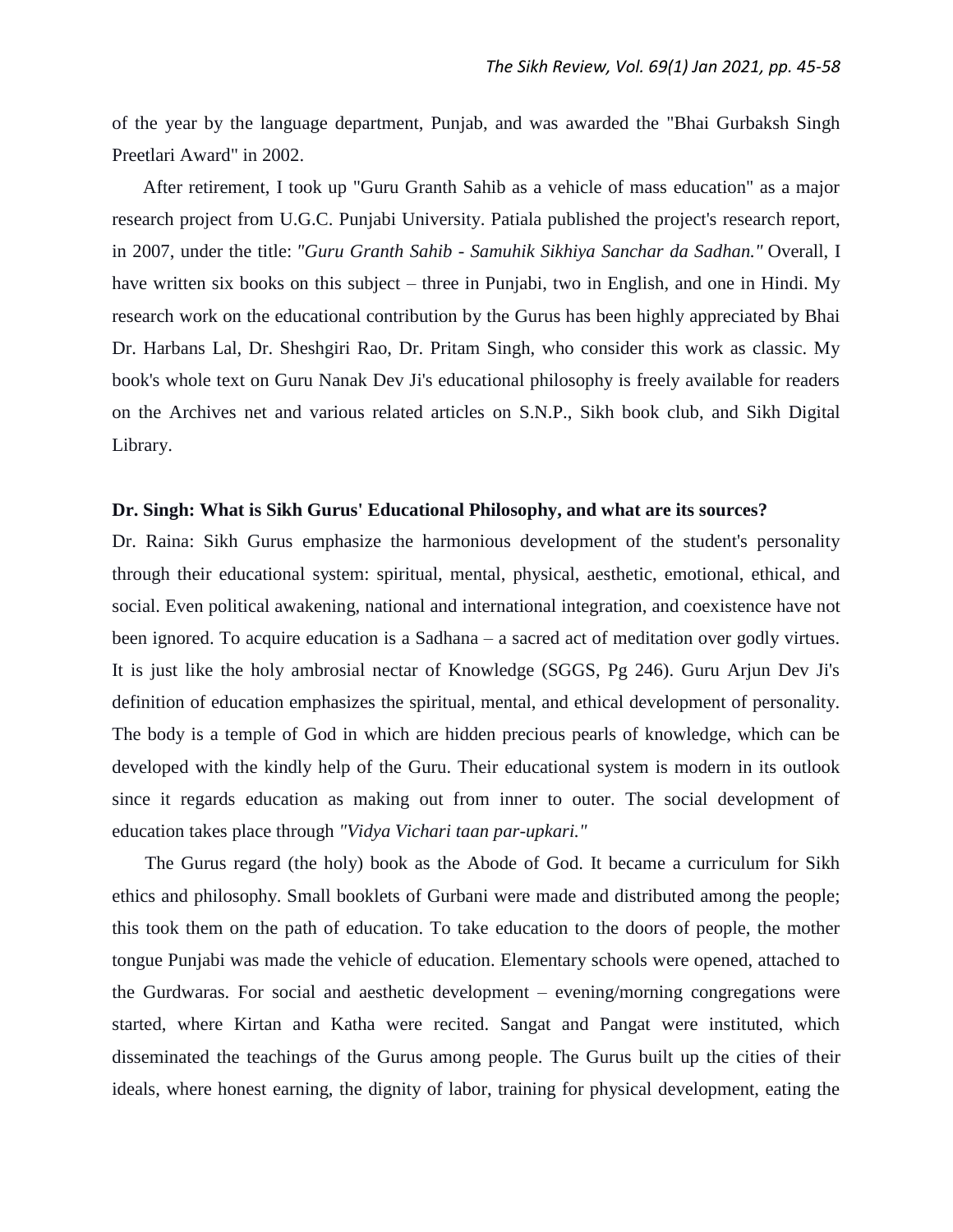of the year by the language department, Punjab, and was awarded the "Bhai Gurbaksh Singh Preetlari Award" in 2002.

 After retirement, I took up "Guru Granth Sahib as a vehicle of mass education" as a major research project from U.G.C. Punjabi University. Patiala published the project's research report, in 2007, under the title: *"Guru Granth Sahib - Samuhik Sikhiya Sanchar da Sadhan."* Overall, I have written six books on this subject – three in Punjabi, two in English, and one in Hindi. My research work on the educational contribution by the Gurus has been highly appreciated by Bhai Dr. Harbans Lal, Dr. Sheshgiri Rao, Dr. Pritam Singh, who consider this work as classic. My book's whole text on Guru Nanak Dev Ji's educational philosophy is freely available for readers on the Archives net and various related articles on S.N.P., Sikh book club, and Sikh Digital Library.

#### **Dr. Singh: What is Sikh Gurus' Educational Philosophy, and what are its sources?**

Dr. Raina: Sikh Gurus emphasize the harmonious development of the student's personality through their educational system: spiritual, mental, physical, aesthetic, emotional, ethical, and social. Even political awakening, national and international integration, and coexistence have not been ignored. To acquire education is a Sadhana – a sacred act of meditation over godly virtues. It is just like the holy ambrosial nectar of Knowledge (SGGS, Pg 246). Guru Arjun Dev Ji's definition of education emphasizes the spiritual, mental, and ethical development of personality. The body is a temple of God in which are hidden precious pearls of knowledge, which can be developed with the kindly help of the Guru. Their educational system is modern in its outlook since it regards education as making out from inner to outer. The social development of education takes place through *"Vidya Vichari taan par-upkari."*

 The Gurus regard (the holy) book as the Abode of God. It became a curriculum for Sikh ethics and philosophy. Small booklets of Gurbani were made and distributed among the people; this took them on the path of education. To take education to the doors of people, the mother tongue Punjabi was made the vehicle of education. Elementary schools were opened, attached to the Gurdwaras. For social and aesthetic development – evening/morning congregations were started, where Kirtan and Katha were recited. Sangat and Pangat were instituted, which disseminated the teachings of the Gurus among people. The Gurus built up the cities of their ideals, where honest earning, the dignity of labor, training for physical development, eating the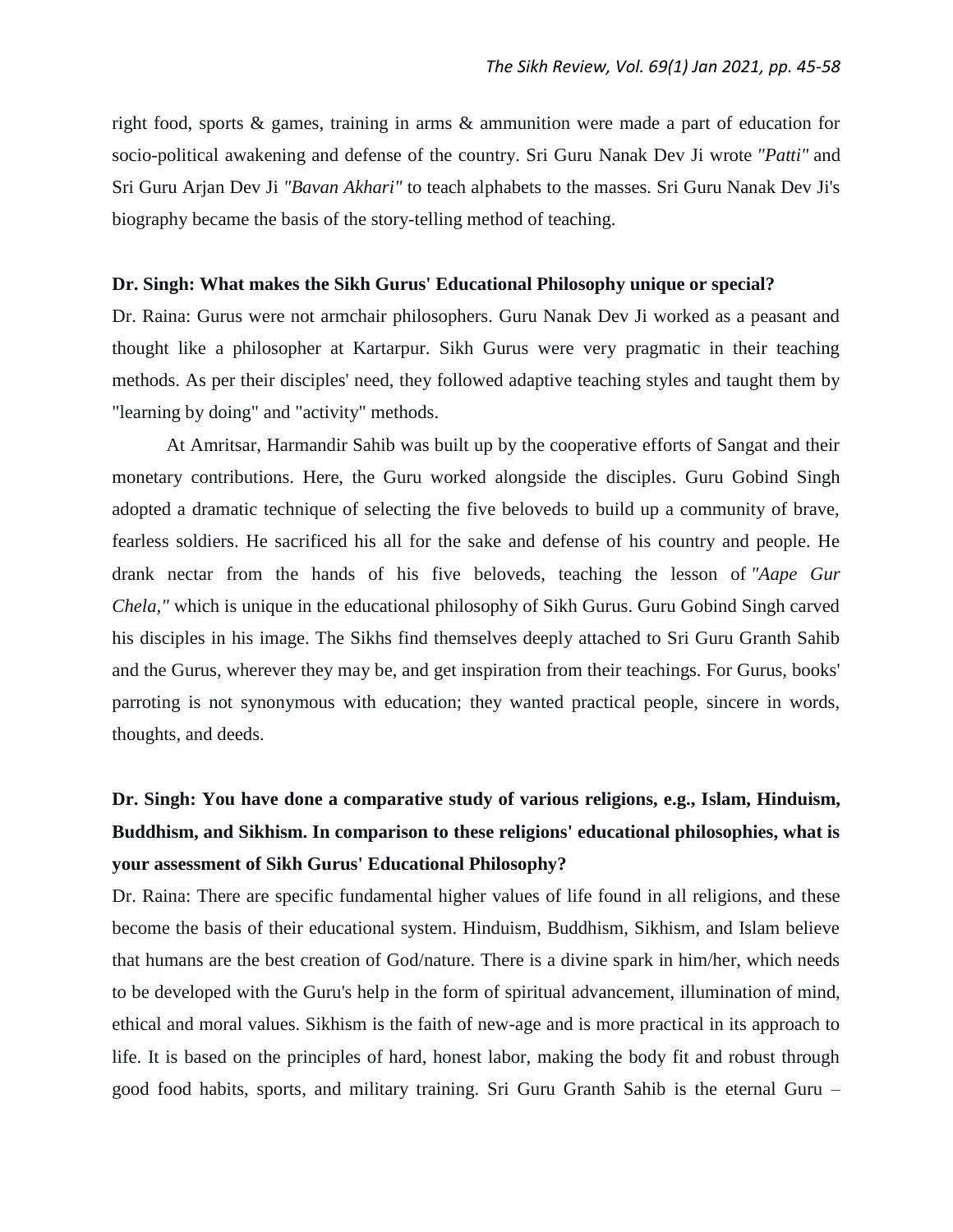right food, sports & games, training in arms & ammunition were made a part of education for socio-political awakening and defense of the country. Sri Guru Nanak Dev Ji wrote *"Patti"* and Sri Guru Arjan Dev Ji *"Bavan Akhari"* to teach alphabets to the masses. Sri Guru Nanak Dev Ji's biography became the basis of the story-telling method of teaching.

#### **Dr. Singh: What makes the Sikh Gurus' Educational Philosophy unique or special?**

Dr. Raina: Gurus were not armchair philosophers. Guru Nanak Dev Ji worked as a peasant and thought like a philosopher at Kartarpur. Sikh Gurus were very pragmatic in their teaching methods. As per their disciples' need, they followed adaptive teaching styles and taught them by "learning by doing" and "activity" methods.

At Amritsar, Harmandir Sahib was built up by the cooperative efforts of Sangat and their monetary contributions. Here, the Guru worked alongside the disciples. Guru Gobind Singh adopted a dramatic technique of selecting the five beloveds to build up a community of brave, fearless soldiers. He sacrificed his all for the sake and defense of his country and people. He drank nectar from the hands of his five beloveds, teaching the lesson of *"Aape Gur Chela,"* which is unique in the educational philosophy of Sikh Gurus. Guru Gobind Singh carved his disciples in his image. The Sikhs find themselves deeply attached to Sri Guru Granth Sahib and the Gurus, wherever they may be, and get inspiration from their teachings. For Gurus, books' parroting is not synonymous with education; they wanted practical people, sincere in words, thoughts, and deeds.

# **Dr. Singh: You have done a comparative study of various religions, e.g., Islam, Hinduism, Buddhism, and Sikhism. In comparison to these religions' educational philosophies, what is your assessment of Sikh Gurus' Educational Philosophy?**

Dr. Raina: There are specific fundamental higher values of life found in all religions, and these become the basis of their educational system. Hinduism, Buddhism, Sikhism, and Islam believe that humans are the best creation of God/nature. There is a divine spark in him/her, which needs to be developed with the Guru's help in the form of spiritual advancement, illumination of mind, ethical and moral values. Sikhism is the faith of new-age and is more practical in its approach to life. It is based on the principles of hard, honest labor, making the body fit and robust through good food habits, sports, and military training. Sri Guru Granth Sahib is the eternal Guru –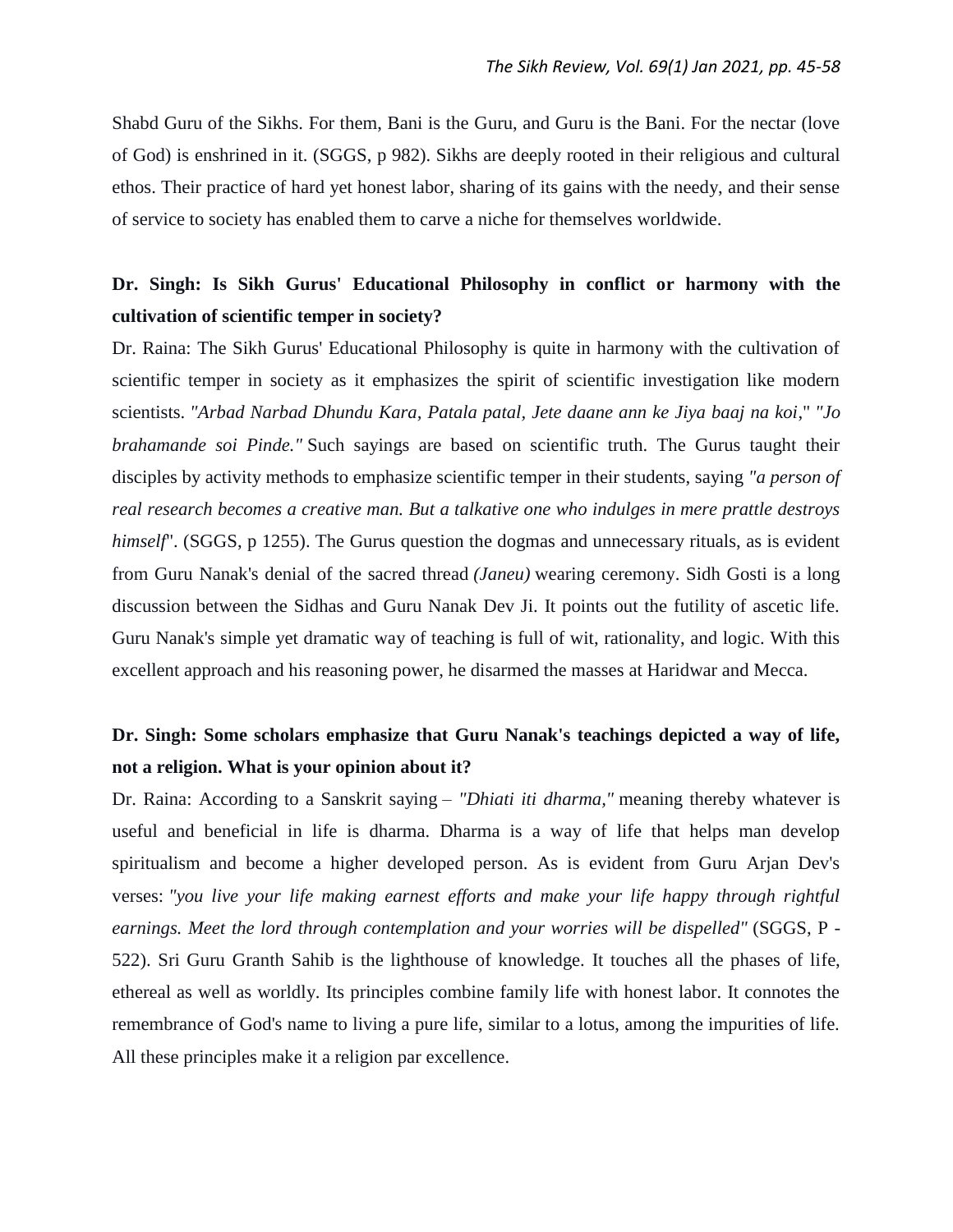Shabd Guru of the Sikhs. For them, Bani is the Guru, and Guru is the Bani. For the nectar (love of God) is enshrined in it. (SGGS, p 982). Sikhs are deeply rooted in their religious and cultural ethos. Their practice of hard yet honest labor, sharing of its gains with the needy, and their sense of service to society has enabled them to carve a niche for themselves worldwide.

# **Dr. Singh: Is Sikh Gurus' Educational Philosophy in conflict or harmony with the cultivation of scientific temper in society?**

Dr. Raina: The Sikh Gurus' Educational Philosophy is quite in harmony with the cultivation of scientific temper in society as it emphasizes the spirit of scientific investigation like modern scientists. *"Arbad Narbad Dhundu Kara, Patala patal, Jete daane ann ke Jiya baaj na koi*," *"Jo brahamande soi Pinde."* Such sayings are based on scientific truth. The Gurus taught their disciples by activity methods to emphasize scientific temper in their students, saying *"a person of real research becomes a creative man. But a talkative one who indulges in mere prattle destroys himself*". (SGGS, p 1255). The Gurus question the dogmas and unnecessary rituals, as is evident from Guru Nanak's denial of the sacred thread *(Janeu)* wearing ceremony. Sidh Gosti is a long discussion between the Sidhas and Guru Nanak Dev Ji. It points out the futility of ascetic life. Guru Nanak's simple yet dramatic way of teaching is full of wit, rationality, and logic. With this excellent approach and his reasoning power, he disarmed the masses at Haridwar and Mecca.

# **Dr. Singh: Some scholars emphasize that Guru Nanak's teachings depicted a way of life, not a religion. What is your opinion about it?**

Dr. Raina: According to a Sanskrit saying *– "Dhiati iti dharma,"* meaning thereby whatever is useful and beneficial in life is dharma. Dharma is a way of life that helps man develop spiritualism and become a higher developed person. As is evident from Guru Arjan Dev's verses: *"you live your life making earnest efforts and make your life happy through rightful earnings. Meet the lord through contemplation and your worries will be dispelled"* (SGGS, P - 522). Sri Guru Granth Sahib is the lighthouse of knowledge. It touches all the phases of life, ethereal as well as worldly. Its principles combine family life with honest labor. It connotes the remembrance of God's name to living a pure life, similar to a lotus, among the impurities of life. All these principles make it a religion par excellence.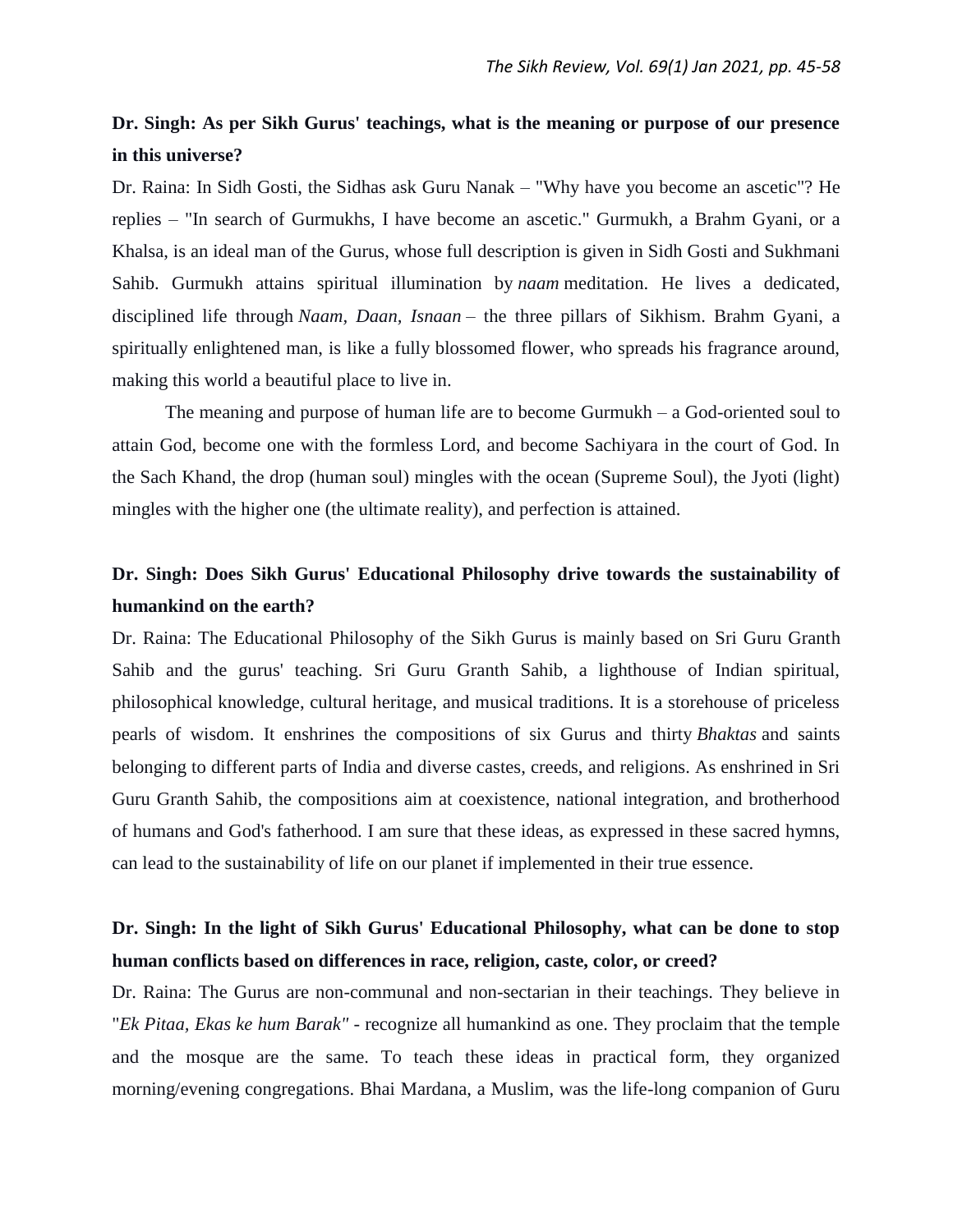## **Dr. Singh: As per Sikh Gurus' teachings, what is the meaning or purpose of our presence in this universe?**

Dr. Raina: In Sidh Gosti, the Sidhas ask Guru Nanak – "Why have you become an ascetic"? He replies – "In search of Gurmukhs, I have become an ascetic." Gurmukh, a Brahm Gyani, or a Khalsa, is an ideal man of the Gurus, whose full description is given in Sidh Gosti and Sukhmani Sahib. Gurmukh attains spiritual illumination by *naam* meditation. He lives a dedicated, disciplined life through *Naam, Daan, Isnaan* – the three pillars of Sikhism. Brahm Gyani, a spiritually enlightened man, is like a fully blossomed flower, who spreads his fragrance around, making this world a beautiful place to live in.

The meaning and purpose of human life are to become Gurmukh – a God-oriented soul to attain God, become one with the formless Lord, and become Sachiyara in the court of God. In the Sach Khand, the drop (human soul) mingles with the ocean (Supreme Soul), the Jyoti (light) mingles with the higher one (the ultimate reality), and perfection is attained.

# **Dr. Singh: Does Sikh Gurus' Educational Philosophy drive towards the sustainability of humankind on the earth?**

Dr. Raina: The Educational Philosophy of the Sikh Gurus is mainly based on Sri Guru Granth Sahib and the gurus' teaching. Sri Guru Granth Sahib, a lighthouse of Indian spiritual, philosophical knowledge, cultural heritage, and musical traditions. It is a storehouse of priceless pearls of wisdom. It enshrines the compositions of six Gurus and thirty *Bhaktas* and saints belonging to different parts of India and diverse castes, creeds, and religions. As enshrined in Sri Guru Granth Sahib, the compositions aim at coexistence, national integration, and brotherhood of humans and God's fatherhood. I am sure that these ideas, as expressed in these sacred hymns, can lead to the sustainability of life on our planet if implemented in their true essence.

# **Dr. Singh: In the light of Sikh Gurus' Educational Philosophy, what can be done to stop human conflicts based on differences in race, religion, caste, color, or creed?**

Dr. Raina: The Gurus are non-communal and non-sectarian in their teachings. They believe in "*Ek Pitaa, Ekas ke hum Barak"* - recognize all humankind as one. They proclaim that the temple and the mosque are the same. To teach these ideas in practical form, they organized morning/evening congregations. Bhai Mardana, a Muslim, was the life-long companion of Guru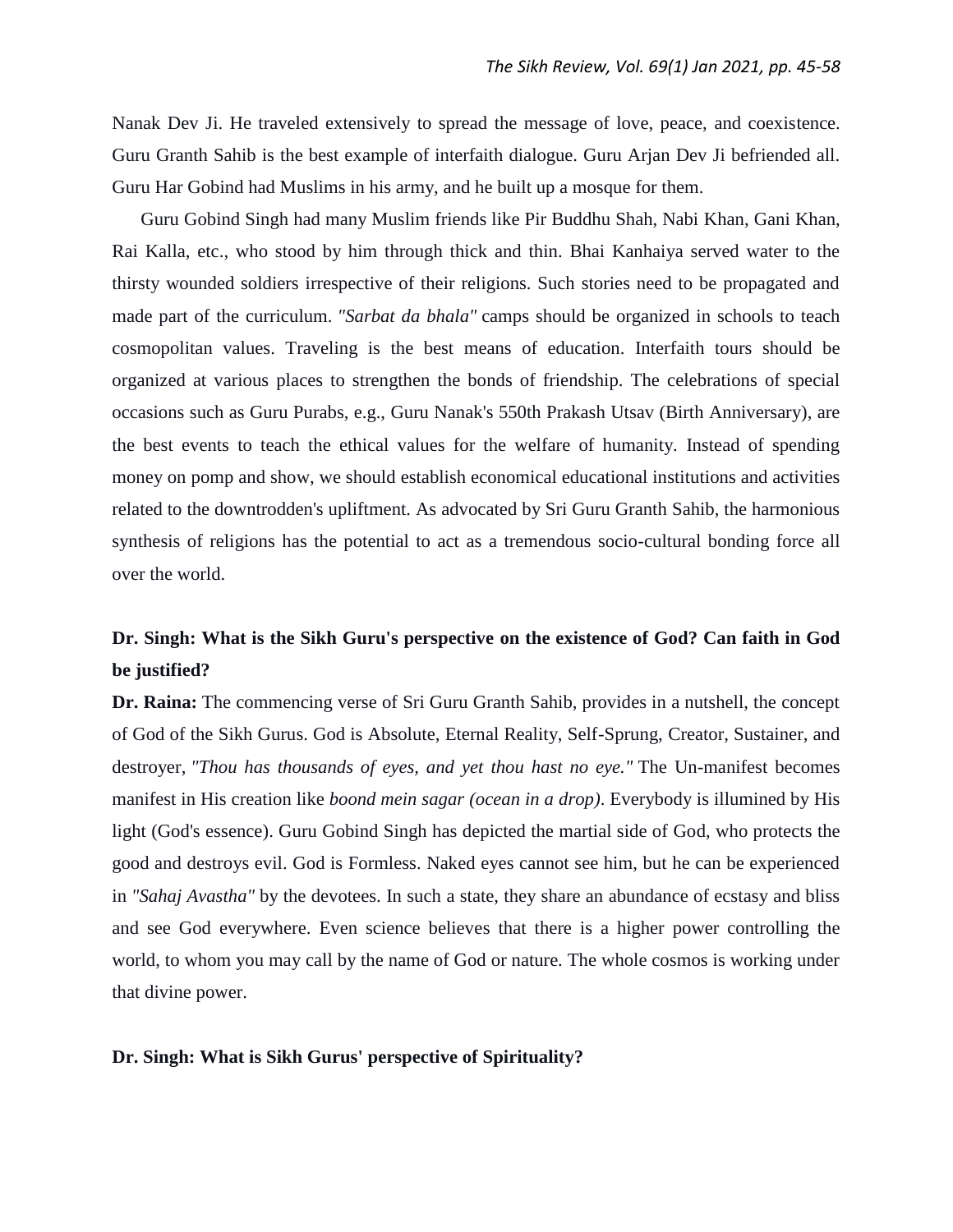Nanak Dev Ji. He traveled extensively to spread the message of love, peace, and coexistence. Guru Granth Sahib is the best example of interfaith dialogue. Guru Arjan Dev Ji befriended all. Guru Har Gobind had Muslims in his army, and he built up a mosque for them.

 Guru Gobind Singh had many Muslim friends like Pir Buddhu Shah, Nabi Khan, Gani Khan, Rai Kalla, etc., who stood by him through thick and thin. Bhai Kanhaiya served water to the thirsty wounded soldiers irrespective of their religions. Such stories need to be propagated and made part of the curriculum. *"Sarbat da bhala"* camps should be organized in schools to teach cosmopolitan values. Traveling is the best means of education. Interfaith tours should be organized at various places to strengthen the bonds of friendship. The celebrations of special occasions such as Guru Purabs, e.g., Guru Nanak's 550th Prakash Utsav (Birth Anniversary), are the best events to teach the ethical values for the welfare of humanity. Instead of spending money on pomp and show, we should establish economical educational institutions and activities related to the downtrodden's upliftment. As advocated by Sri Guru Granth Sahib, the harmonious synthesis of religions has the potential to act as a tremendous socio-cultural bonding force all over the world.

### **Dr. Singh: What is the Sikh Guru's perspective on the existence of God? Can faith in God be justified?**

**Dr. Raina:** The commencing verse of Sri Guru Granth Sahib, provides in a nutshell, the concept of God of the Sikh Gurus. God is Absolute, Eternal Reality, Self-Sprung, Creator, Sustainer, and destroyer, *"Thou has thousands of eyes, and yet thou hast no eye."* The Un-manifest becomes manifest in His creation like *boond mein sagar (ocean in a drop)*. Everybody is illumined by His light (God's essence). Guru Gobind Singh has depicted the martial side of God, who protects the good and destroys evil. God is Formless. Naked eyes cannot see him, but he can be experienced in *"Sahaj Avastha"* by the devotees. In such a state, they share an abundance of ecstasy and bliss and see God everywhere. Even science believes that there is a higher power controlling the world, to whom you may call by the name of God or nature. The whole cosmos is working under that divine power.

#### **Dr. Singh: What is Sikh Gurus' perspective of Spirituality?**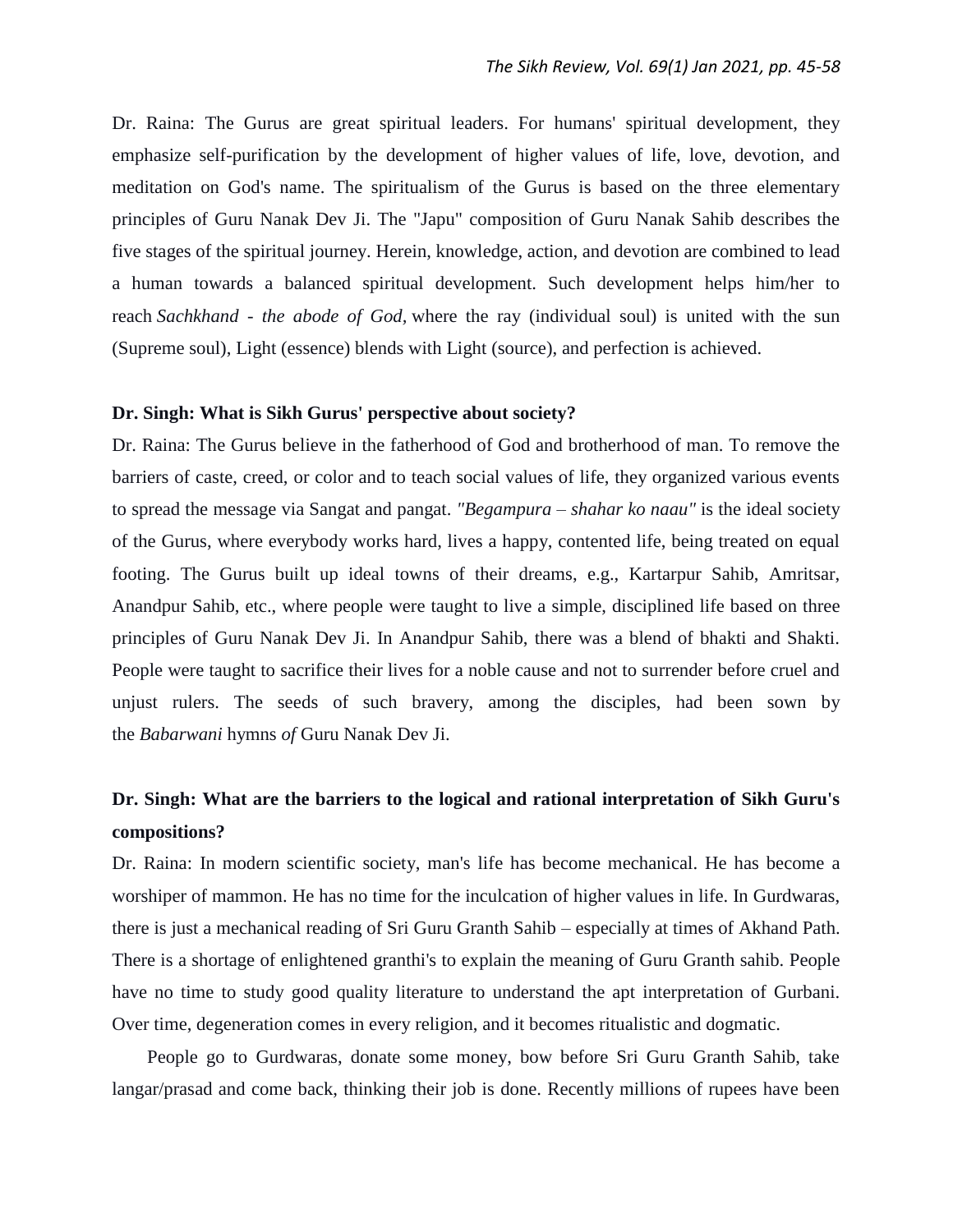Dr. Raina: The Gurus are great spiritual leaders. For humans' spiritual development, they emphasize self-purification by the development of higher values of life, love, devotion, and meditation on God's name. The spiritualism of the Gurus is based on the three elementary principles of Guru Nanak Dev Ji. The "Japu" composition of Guru Nanak Sahib describes the five stages of the spiritual journey. Herein, knowledge, action, and devotion are combined to lead a human towards a balanced spiritual development. Such development helps him/her to reach *Sachkhand - the abode of God,* where the ray (individual soul) is united with the sun (Supreme soul), Light (essence) blends with Light (source), and perfection is achieved.

#### **Dr. Singh: What is Sikh Gurus' perspective about society?**

Dr. Raina: The Gurus believe in the fatherhood of God and brotherhood of man. To remove the barriers of caste, creed, or color and to teach social values of life, they organized various events to spread the message via Sangat and pangat. *"Begampura – shahar ko naau"* is the ideal society of the Gurus, where everybody works hard, lives a happy, contented life, being treated on equal footing. The Gurus built up ideal towns of their dreams, e.g., Kartarpur Sahib, Amritsar, Anandpur Sahib, etc., where people were taught to live a simple, disciplined life based on three principles of Guru Nanak Dev Ji. In Anandpur Sahib, there was a blend of bhakti and Shakti. People were taught to sacrifice their lives for a noble cause and not to surrender before cruel and unjust rulers. The seeds of such bravery, among the disciples, had been sown by the *Babarwani* hymns *of* Guru Nanak Dev Ji.

# **Dr. Singh: What are the barriers to the logical and rational interpretation of Sikh Guru's compositions?**

Dr. Raina: In modern scientific society, man's life has become mechanical. He has become a worshiper of mammon. He has no time for the inculcation of higher values in life. In Gurdwaras, there is just a mechanical reading of Sri Guru Granth Sahib – especially at times of Akhand Path. There is a shortage of enlightened granthi's to explain the meaning of Guru Granth sahib. People have no time to study good quality literature to understand the apt interpretation of Gurbani. Over time, degeneration comes in every religion, and it becomes ritualistic and dogmatic.

 People go to Gurdwaras, donate some money, bow before Sri Guru Granth Sahib, take langar/prasad and come back, thinking their job is done. Recently millions of rupees have been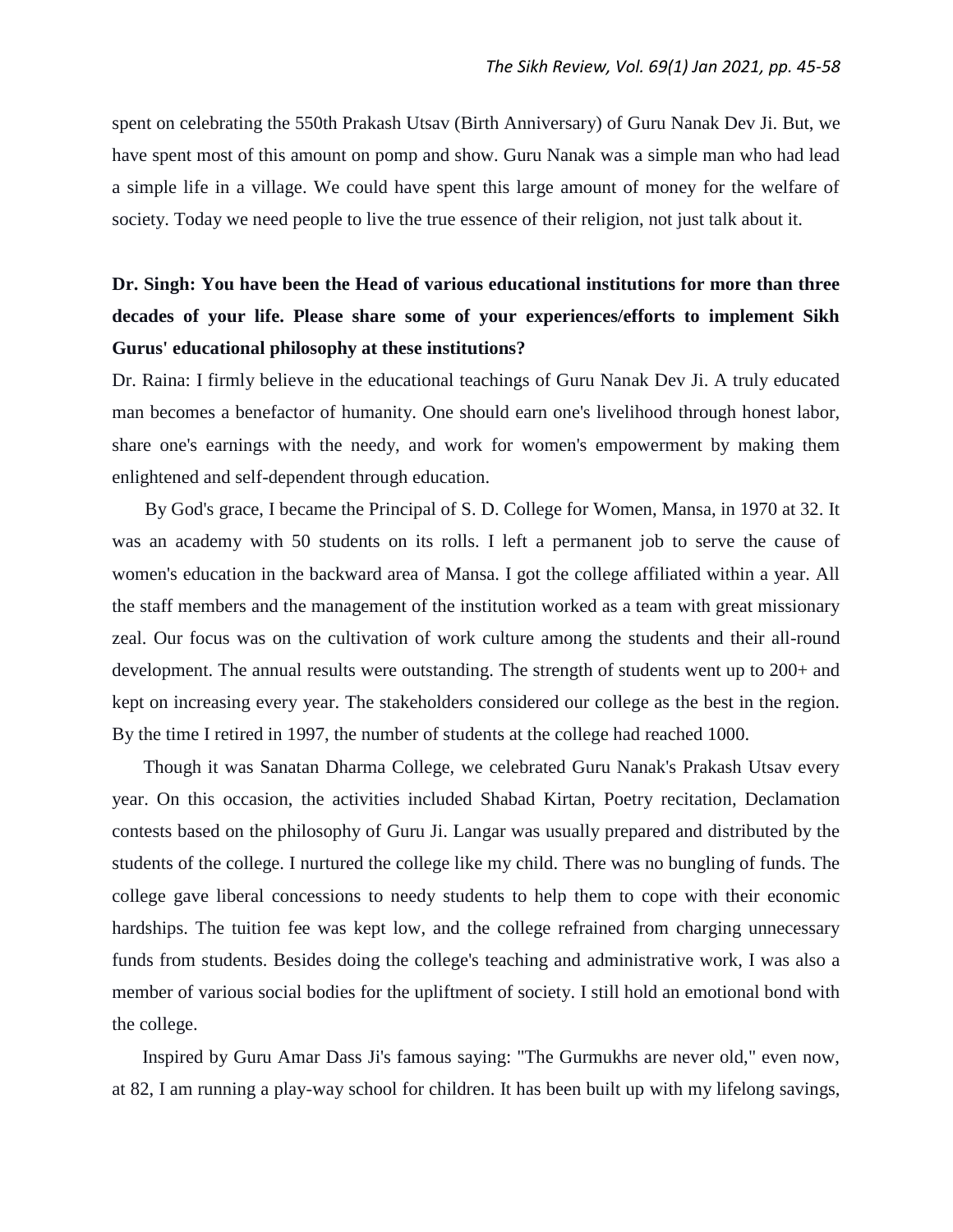spent on celebrating the 550th Prakash Utsav (Birth Anniversary) of Guru Nanak Dev Ji. But, we have spent most of this amount on pomp and show. Guru Nanak was a simple man who had lead a simple life in a village. We could have spent this large amount of money for the welfare of society. Today we need people to live the true essence of their religion, not just talk about it.

# **Dr. Singh: You have been the Head of various educational institutions for more than three decades of your life. Please share some of your experiences/efforts to implement Sikh Gurus' educational philosophy at these institutions?**

Dr. Raina: I firmly believe in the educational teachings of Guru Nanak Dev Ji. A truly educated man becomes a benefactor of humanity. One should earn one's livelihood through honest labor, share one's earnings with the needy, and work for women's empowerment by making them enlightened and self-dependent through education.

By God's grace, I became the Principal of S. D. College for Women, Mansa, in 1970 at 32. It was an academy with 50 students on its rolls. I left a permanent job to serve the cause of women's education in the backward area of Mansa. I got the college affiliated within a year. All the staff members and the management of the institution worked as a team with great missionary zeal. Our focus was on the cultivation of work culture among the students and their all-round development. The annual results were outstanding. The strength of students went up to 200+ and kept on increasing every year. The stakeholders considered our college as the best in the region. By the time I retired in 1997, the number of students at the college had reached 1000.

 Though it was Sanatan Dharma College, we celebrated Guru Nanak's Prakash Utsav every year. On this occasion, the activities included Shabad Kirtan, Poetry recitation, Declamation contests based on the philosophy of Guru Ji. Langar was usually prepared and distributed by the students of the college. I nurtured the college like my child. There was no bungling of funds. The college gave liberal concessions to needy students to help them to cope with their economic hardships. The tuition fee was kept low, and the college refrained from charging unnecessary funds from students. Besides doing the college's teaching and administrative work, I was also a member of various social bodies for the upliftment of society. I still hold an emotional bond with the college.

 Inspired by Guru Amar Dass Ji's famous saying: "The Gurmukhs are never old," even now, at 82, I am running a play-way school for children. It has been built up with my lifelong savings,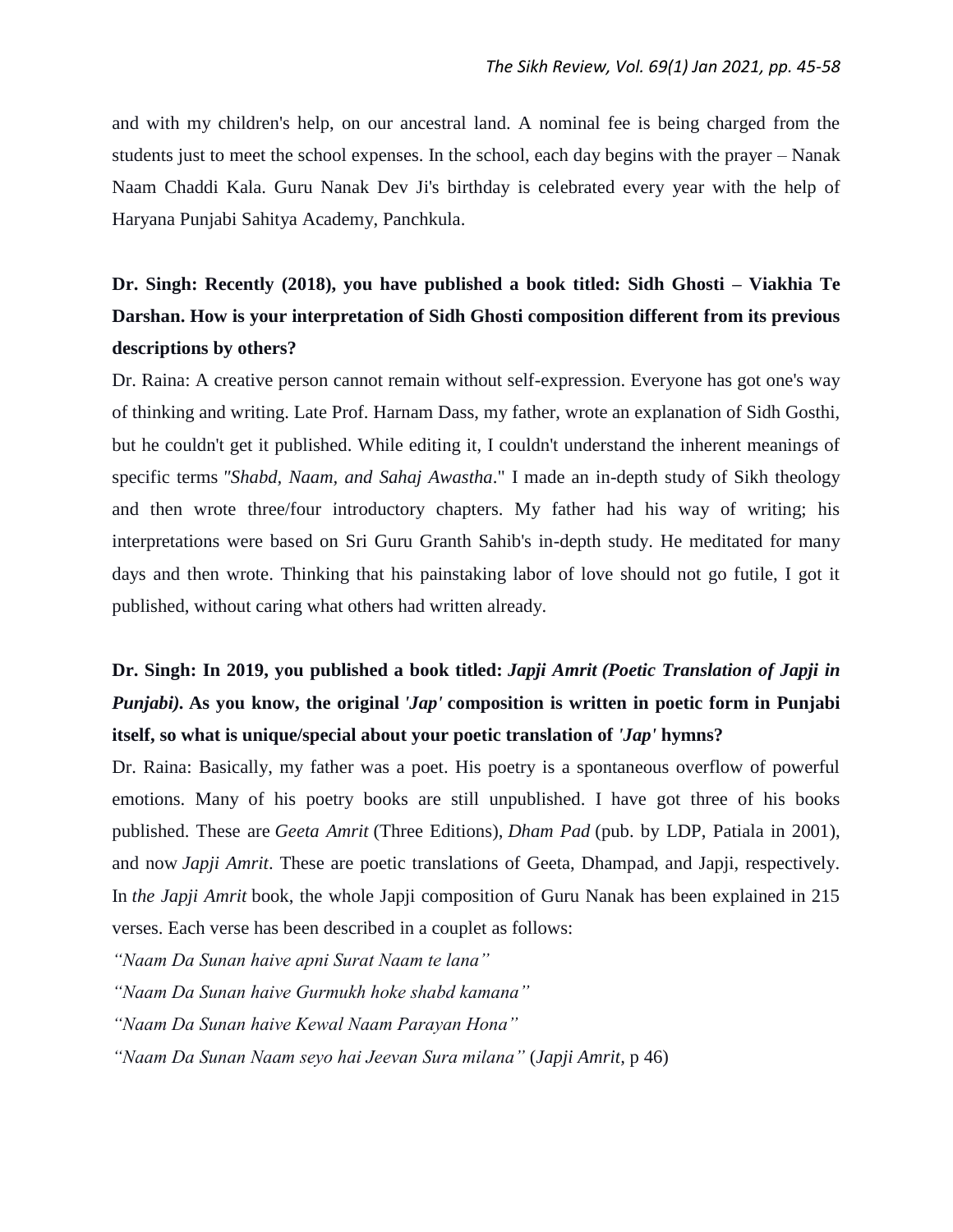and with my children's help, on our ancestral land. A nominal fee is being charged from the students just to meet the school expenses. In the school, each day begins with the prayer – Nanak Naam Chaddi Kala. Guru Nanak Dev Ji's birthday is celebrated every year with the help of Haryana Punjabi Sahitya Academy, Panchkula.

# **Dr. Singh: Recently (2018), you have published a book titled: Sidh Ghosti – Viakhia Te Darshan. How is your interpretation of Sidh Ghosti composition different from its previous descriptions by others?**

Dr. Raina: A creative person cannot remain without self-expression. Everyone has got one's way of thinking and writing. Late Prof. Harnam Dass, my father, wrote an explanation of Sidh Gosthi, but he couldn't get it published. While editing it, I couldn't understand the inherent meanings of specific terms *"Shabd, Naam, and Sahaj Awastha*." I made an in-depth study of Sikh theology and then wrote three/four introductory chapters. My father had his way of writing; his interpretations were based on Sri Guru Granth Sahib's in-depth study. He meditated for many days and then wrote. Thinking that his painstaking labor of love should not go futile, I got it published, without caring what others had written already.

# **Dr. Singh: In 2019, you published a book titled:** *Japji Amrit (Poetic Translation of Japji in Punjabi).* **As you know, the original** *'Jap'* **composition is written in poetic form in Punjabi itself, so what is unique/special about your poetic translation of** *'Jap'* **hymns?**

Dr. Raina: Basically, my father was a poet. His poetry is a spontaneous overflow of powerful emotions. Many of his poetry books are still unpublished. I have got three of his books published. These are *Geeta Amrit* (Three Editions), *Dham Pad* (pub. by LDP, Patiala in 2001), and now *Japji Amrit*. These are poetic translations of Geeta, Dhampad, and Japji, respectively. In *the Japji Amrit* book, the whole Japji composition of Guru Nanak has been explained in 215 verses. Each verse has been described in a couplet as follows:

*"Naam Da Sunan haive apni Surat Naam te lana"*

*"Naam Da Sunan haive Gurmukh hoke shabd kamana"*

*"Naam Da Sunan haive Kewal Naam Parayan Hona"*

*"Naam Da Sunan Naam seyo hai Jeevan Sura milana"* (*Japji Amrit,* p 46)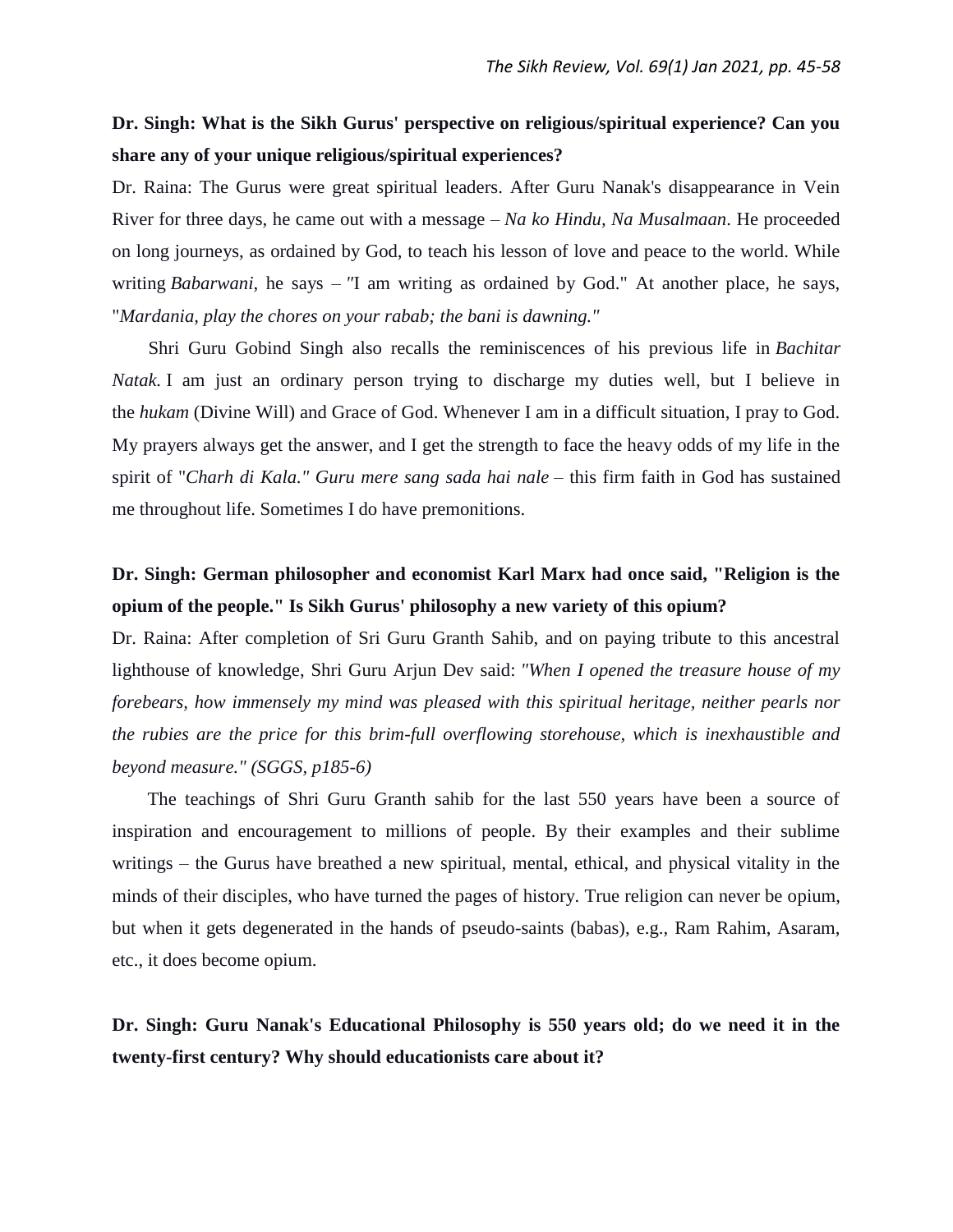### **Dr. Singh: What is the Sikh Gurus' perspective on religious/spiritual experience? Can you share any of your unique religious/spiritual experiences?**

Dr. Raina: The Gurus were great spiritual leaders. After Guru Nanak's disappearance in Vein River for three days, he came out with a message – *Na ko Hindu, Na Musalmaan*. He proceeded on long journeys, as ordained by God, to teach his lesson of love and peace to the world. While writing *Babarwani*, he says – *"*I am writing as ordained by God." At another place, he says, "*Mardania, play the chores on your rabab; the bani is dawning."*

 Shri Guru Gobind Singh also recalls the reminiscences of his previous life in *Bachitar Natak.* I am just an ordinary person trying to discharge my duties well, but I believe in the *hukam* (Divine Will) and Grace of God. Whenever I am in a difficult situation, I pray to God. My prayers always get the answer, and I get the strength to face the heavy odds of my life in the spirit of "*Charh di Kala." Guru mere sang sada hai nale* – this firm faith in God has sustained me throughout life. Sometimes I do have premonitions.

# **Dr. Singh: German philosopher and economist Karl Marx had once said, "Religion is the opium of the people." Is Sikh Gurus' philosophy a new variety of this opium?**

Dr. Raina: After completion of Sri Guru Granth Sahib, and on paying tribute to this ancestral lighthouse of knowledge, Shri Guru Arjun Dev said: *"When I opened the treasure house of my forebears, how immensely my mind was pleased with this spiritual heritage, neither pearls nor the rubies are the price for this brim-full overflowing storehouse, which is inexhaustible and beyond measure." (SGGS, p185-6)*

 The teachings of Shri Guru Granth sahib for the last 550 years have been a source of inspiration and encouragement to millions of people. By their examples and their sublime writings – the Gurus have breathed a new spiritual, mental, ethical, and physical vitality in the minds of their disciples, who have turned the pages of history. True religion can never be opium, but when it gets degenerated in the hands of pseudo-saints (babas), e.g., Ram Rahim, Asaram, etc., it does become opium.

**Dr. Singh: Guru Nanak's Educational Philosophy is 550 years old; do we need it in the twenty-first century? Why should educationists care about it?**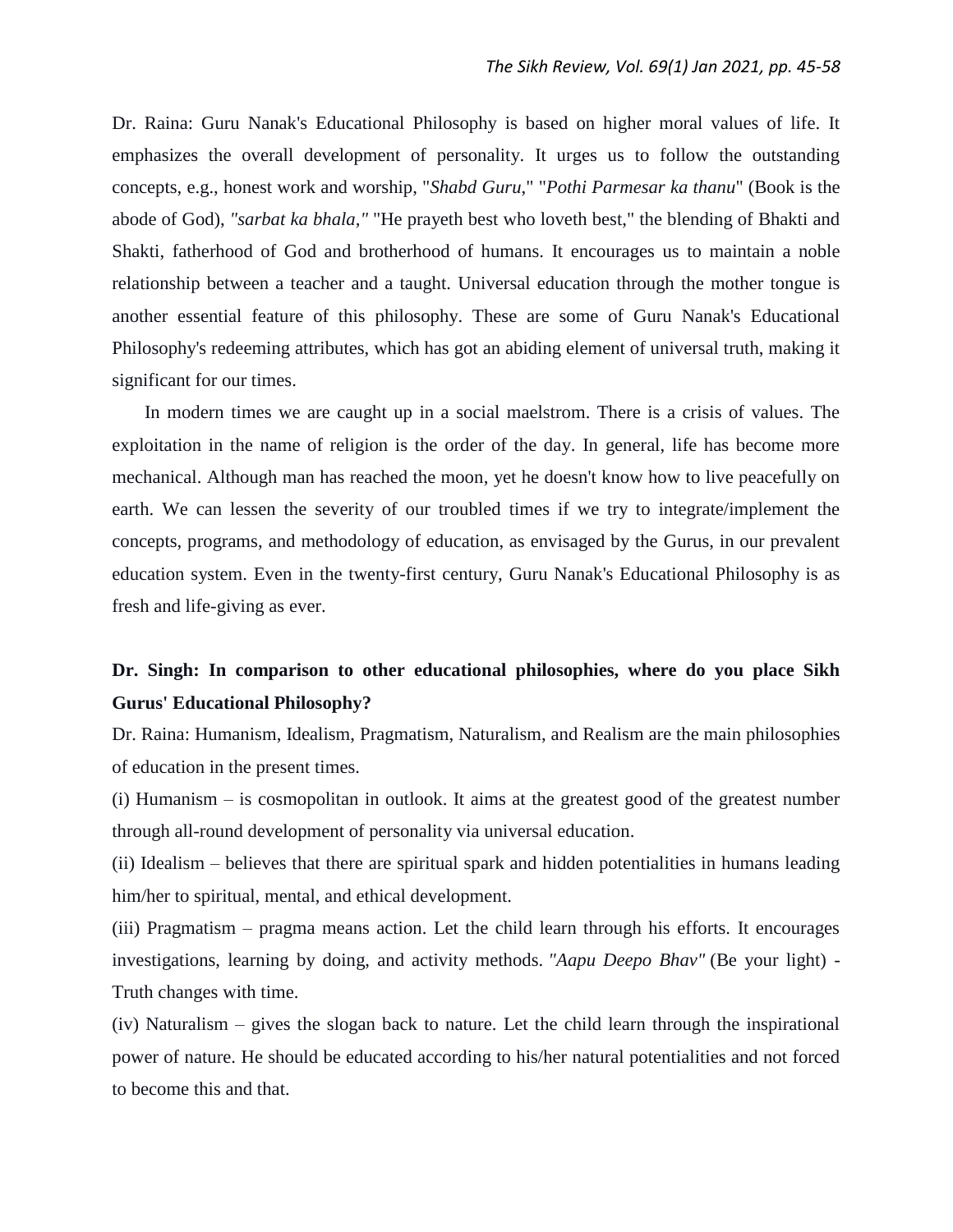Dr. Raina: Guru Nanak's Educational Philosophy is based on higher moral values of life. It emphasizes the overall development of personality. It urges us to follow the outstanding concepts, e.g., honest work and worship, "*Shabd Guru*," "*Pothi Parmesar ka thanu*" (Book is the abode of God), *"sarbat ka bhala,"* "He prayeth best who loveth best," the blending of Bhakti and Shakti, fatherhood of God and brotherhood of humans. It encourages us to maintain a noble relationship between a teacher and a taught. Universal education through the mother tongue is another essential feature of this philosophy. These are some of Guru Nanak's Educational Philosophy's redeeming attributes, which has got an abiding element of universal truth, making it significant for our times.

 In modern times we are caught up in a social maelstrom. There is a crisis of values. The exploitation in the name of religion is the order of the day. In general, life has become more mechanical. Although man has reached the moon, yet he doesn't know how to live peacefully on earth. We can lessen the severity of our troubled times if we try to integrate/implement the concepts, programs, and methodology of education, as envisaged by the Gurus, in our prevalent education system. Even in the twenty-first century, Guru Nanak's Educational Philosophy is as fresh and life-giving as ever.

# **Dr. Singh: In comparison to other educational philosophies, where do you place Sikh Gurus' Educational Philosophy?**

Dr. Raina: Humanism, Idealism, Pragmatism, Naturalism, and Realism are the main philosophies of education in the present times.

(i) Humanism – is cosmopolitan in outlook. It aims at the greatest good of the greatest number through all-round development of personality via universal education.

(ii) Idealism – believes that there are spiritual spark and hidden potentialities in humans leading him/her to spiritual, mental, and ethical development.

(iii) Pragmatism – pragma means action. Let the child learn through his efforts. It encourages investigations, learning by doing, and activity methods. *"Aapu Deepo Bhav"* (Be your light) - Truth changes with time.

(iv) Naturalism – gives the slogan back to nature. Let the child learn through the inspirational power of nature. He should be educated according to his/her natural potentialities and not forced to become this and that.